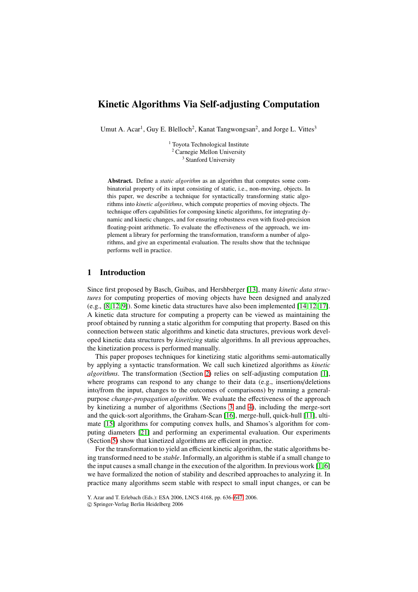# **Kinetic Algorithms Via Self-adjusting Computation**

Umut A. Acar<sup>1</sup>, Guy E. Blelloch<sup>2</sup>, Kanat Tangwongsan<sup>2</sup>, and Jorge L. Vittes<sup>3</sup>

<sup>1</sup> Toyota Technological Institute <sup>2</sup> Carnegie Mellon University <sup>3</sup> Stanford University

**Abstract.** Define a *static algorithm* as an algorithm that computes some combinatorial property of its input consisting of static, i.e., non-moving, objects. In this paper, we describe a technique for syntactically transforming static algorithms into *kinetic algorithms*, which compute properties of moving objects. The technique offers capabilities for composing kinetic algorithms, for integrating dynamic and kinetic changes, and for ensuring robustness even with fixed-precision floating-point arithmetic. To evaluate the effectiveness of the approach, we implement a library for performing the transformation, transform a number of algorithms, and give an experimental evaluation. The results show that the technique performs well in practice.

## **1 Introduction**

Since first proposed by Basch, Guibas, and Hershberger [13], many *kinetic data structures* for computing properties of moving objects have been designed and analyzed (e.g., [8, 12, 9]). Some kinetic data structures have also been implemented [14, 12, 17]. A kinetic data structure for computing a property can be viewed as maintaining the proof obtained by running a static algorithm for computi[ng th](#page-11-0)at property. Based on this connection between static algorithms and kinetic data structures, previous work developed [kin](#page-11-1)[etic](#page-11-2) [d](#page-11-3)ata structures by *kinetizing* static algorithms. In all previous [app](#page-11-4)[roa](#page-11-2)[ches](#page-11-5), the kinetization process is performed manually.

This paper proposes techniques for kinetizing static algorithms semi-automatically by applying a syntactic transformation. We call such kinetized algorithms as *kinetic algorithms*. The transformation (Section 2) relies on self-adjusting computation [1], where programs can respond to any change to their data (e.g., insertions/deletions into/from the input, changes to the outcomes of comparisons) by running a generalpurpose *change-propagation algorithm*. We evaluate the effectiveness of the approach by kinetizing a number of algorithms ([Sec](#page-2-0)tions 3 and 4), including the merge-[sor](#page-10-0)t and the quick-sort algorithms, the Graham-Scan [16], merge-hull, quick-hull [11], ultimate [15] algorithms for computing convex hulls, and Shamos's algorithm for computing diameters [21] and performing an experimental evaluation. Our experiments  $(Section 5)$  show that kinetized algorithms are effi[cie](#page-4-0)nt in [p](#page-5-0)ractice.

For the transformation to yield an efficient kine[tic a](#page-11-6)lgor[ithm](#page-11-7), the static algorithms being tra[nsf](#page-11-8)ormed need to be *stable*. Informally, an algorithm is stable if a small change to the input causes a [sma](#page-11-9)ll change in the execution of the algorithm. In previous work  $[1, 6]$ we have [fo](#page-5-1)rmalized the notion of stability and described approaches to analyzing it. In practice many algorithms seem stable with respect to small input changes, or can be

Y. Azar and T. Erlebach (Eds.): ESA 2006, LNCS 4168, pp. 636–647, 2006.

c Springer-Verlag Berlin Heidelberg 2006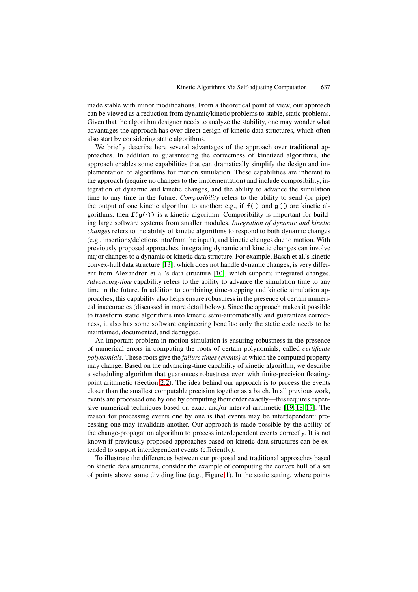made stable with minor modifications. From a theoretical point of view, our approach can be viewed as a reduction from dynamic/kinetic problems to stable, static problems. Given that the algorithm designer needs to analyze the stability, one may wonder what advantages the approach has over direct design of kinetic data structures, which often also start by considering static algorithms.

We briefly describe here several advantages of the approach over traditional approaches. In addition to guaranteeing the correctness of kinetized algorithms, the approach enables some capabilities that can dramatically simplify the design and implementation of algorithms for motion simulation. These capabilities are inherent to the approach (require no changes to the implementation) and include composibility, integration of dynamic and kinetic changes, and the ability to advance the simulation time to any time in the future. *Composibility* refers to the ability to send (or pipe) the output of one kinetic algorithm to another: e.g., if  $f()$  and  $g()$  are kinetic algorithms, then  $f(g($ ) is a kinetic algorithm. Composibility is important for building large software systems from smaller modules. *Integration of dynamic and kinetic changes* refers to the ability of kinetic algorithms to respond to both dynamic changes (e.g., insertions/deletions into/from the input), and kinetic changes due to motion. With previously proposed approaches, integrating dynamic and kinetic changes can involve major changes to a dynamic or kinetic data structure. For example, Basch et al.'s kinetic convex-hull data structure [13], which does not handle dynamic changes, is very different from Alexandron et al.'s data structure [10], which supports integrated changes. *Advancing-time* capability refers to the ability to advance the simulation time to any time in the future. In addition to combining time-stepping and kinetic simulation approaches, this capability al[so h](#page-11-0)elps ensure robustness in the presence of certain numerical inaccuracies (discussed in more detail bel[ow\)](#page-11-10). Since the approach makes it possible to transform static algorithms into kinetic semi-automatically and guarantees correctness, it also has some software engineering benefits: only the static code needs to be maintained, documented, and debugged.

An important problem in motion simulation is ensuring robustness in the presence of numerical errors in computing the roots of certain polynomials, called *certificate polynomials*. These roots give the *failure times (events)* at which the computed property may change. Based on the advancing-time capability of kinetic algorithm, we describe a scheduling algorithm that guarantees robustness even with finite-precision floatingpoint arithmetic (Section 2.2). The idea behind our approach is to process the events closer than the smallest computable precision together as a batch. In all previous work, events are processed one by one by computing their order exactly—this requires expensive numerical techniques based on exact and/or interval arithmetic  $[19, 18, 17]$ . The reason for processing ev[ents](#page-3-0) one by one is that events may be interdependent: processing one may invalidate another. Our approach is made possible by the ability of the change-propagation algorithm to process interdependent events correctly. It is not known if previously proposed approaches based on kinetic data struc[ture](#page-11-11)[s c](#page-11-12)[an b](#page-11-5)e extended to support interdependent events (efficiently).

To illustrate the differences between our proposal and traditional approaches based on kinetic data structures, consider the example of computing the convex hull of a set of points above some dividing line (e.g., Figure 1). In the static setting, where points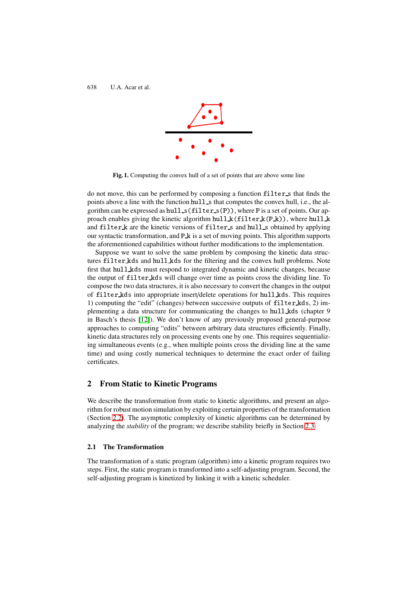

**Fig. 1.** Computing the convex hull of a set of points that are above some line

do not move, this can be performed by composing a function filter's that finds the points above a line with the function hull s that computes the convex hull, i.e., the algorithm can be expressed as hull\_s (filter\_s(P)), where P is a set of points. Our approach enables giving the kinetic algorithm  $hull_k(filter_k(P_k))$ , where  $hull_k$ and  $filter_k$  are the kinetic versions of  $filter_s$  and  $hull_s$  obtained by applying our syntactic transformation, and  $P_k$  is a set of moving points. This algorithm supports the aforementioned capabilities without further modifications to the implementation.

Suppose we want to solve the same problem by composing the kinetic data structures filter\_kds and hull\_kds for the filtering and the convex hull problems. Note first that hull kds must respond to integrated dynamic and kinetic changes, because the output of filter\_kds will change over time as points cross the dividing line. To compose the two data structures, it is also necessary to convert the changes in the output of filter kds into appropriate insert/delete operations for hull kds. This requires 1) computing the "edit" (changes) between successive outputs of filter kds, 2) implementing a data structure for communicating the changes to hull kds (chapter 9 in Basch's thesis [12]). We don't know of any previously proposed general-purpose approaches to computing "edits" between arbitrary data structures efficiently. Finally, kinetic data structures rely on processing events one by one. This requires sequentializing simultaneous events (e.g., when multiple points cross the dividing line at the same time) and using c[ostl](#page-11-2)y numerical techniques to determine the exact order of failing certificates.

## **2 From Static to Kinetic Programs**

<span id="page-2-0"></span>We describe the transformation from static to kinetic algorithms, and present an algorithm for robust motion simulation by exploiting certain properties of the transformation (Section 2.2). The asymptotic complexity of kinetic algorithms can be determined by analyzing the *stability* of the program; we describe stability briefly in Section 2.3.

#### **2.1 Th[e](#page-3-0) [Tr](#page-3-0)ansformation**

<span id="page-2-1"></span>The transformation of a static program (algorithm) into a kinetic program req[uire](#page-4-1)s two steps. First, the static program is transformed into a self-adjusting program. Second, the self-adjusting program is kinetized by linking it with a kinetic scheduler.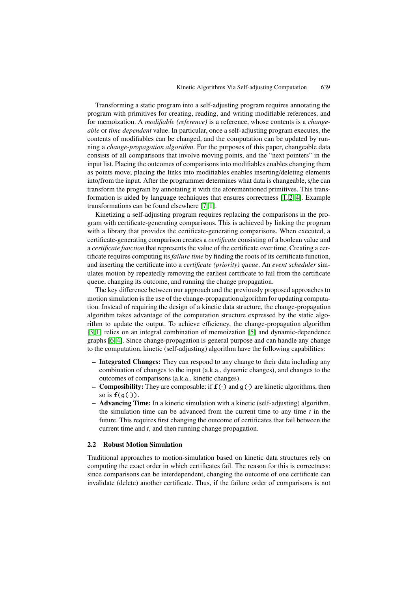Transforming a static program into a self-adjusting program requires annotating the program with primitives for creating, reading, and writing modifiable references, and for memoization. A *modifiable (reference)* is a reference, whose contents is a *changeable* or *time dependent* value. In particular, once a self-adjusting program executes, the contents of modifiables can be changed, and the computation can be updated by running a *change-propagation algorithm*. For the purposes of this paper, changeable data consists of all comparisons that involve moving points, and the "next pointers" in the input list. Placing the outcomes of comparisons into modifiables enables changing them as points move; placing the links into modifiables enables inserting/deleting elements into/from the input. After the programmer determines what data is changeable, s/he can transform the program by annotating it with the aforementioned primitives. This transformation is aided by language techniques that ensures correctness [1, 2, 4]. Example transformations can be found elsewhere [7, 1].

Kinetizing a self-adjusting program requires replacing the comparisons in the program with certificate-generating comparisons. This is achieved by linking the program with a library that provides the certificate-generating comparisons. [W](#page-10-0)[he](#page-10-1)[n e](#page-11-13)xecuted, a certificate-generating comparison creates [a](#page-11-14) *[ce](#page-10-0)rtificate* consisting of a boolean value and a *certificate function* that represents the value of the certificate over time. Creating a certificate requires computing its *failure time* by finding the roots of its certificate function, and inserting the certificate into a *certificate (priority) queue*. An *event scheduler* simulates motion by repeatedly removing the earliest certificate to fail from the certificate queue, changing its outcome, and running the change propagation.

The key difference between our approach and the previously proposed approaches to motion simulation is the use of the change-propagation algorithm for updating computation. Instead of requiring the design of a kinetic data structure, the change-propagation algorithm takes advantage of the computation structure expressed by the static algorithm to update the output. To achieve efficiency, the change-propagation algorithm [3, 1] relies on an integral combination of memoization [5] and dynamic-dependence graphs [6, 4]. Since change-propagation is general purpose and can handle any change to the computation, kinetic (self-adjusting) algorithm have the following capabilities:

- **[–](#page-11-15) [I](#page-10-0)ntegrated Changes:** They can respond to any change to their data including any combination of changes to the input (a.k.a., dynamic [ch](#page-11-16)anges), and changes to the out[co](#page-11-17)[me](#page-11-13)s of comparisons (a.k.a., kinetic changes).
- **Composibility:** They are composable: if  $f()$  and  $g()$  are kinetic algorithms, then so is  $f(g(\cdot))$ .
- **Advancing Time:** In a kinetic simulation with a kinetic (self-adjusting) algorithm, the simulation time can be advanced from the current time to any time *t* in the future. This requires first changing the outcome of certificates that fail between the current time and *t*, and then running change propagation.

#### **2.2 Robust Motion Simulation**

<span id="page-3-0"></span>Traditional approaches to motion-simulation based on kinetic data structures rely on computing the exact order in which certificates fail. The reason for this is correctness: since comparisons can be interdependent, changing the outcome of one certificate can invalidate (delete) another certificate. Thus, if the failure order of comparisons is not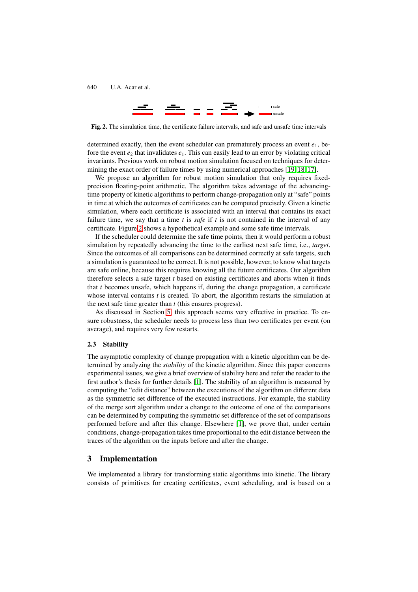

**Fig. 2.** The simulation time, the certificate failure intervals, and safe and unsafe time intervals

determined exactly, then the event scheduler can prematurely process an event *e*1, before the event  $e_2$  that invalidates  $e_1$ . This can easily lead to an error by violating critical invariants. Previous work on robust motion simulation focused on techniques for determining the exact order of failure times by using numerical approaches [19, 18, 17].

<span id="page-4-2"></span>We propose an algorithm for robust motion simulation that only requires fixedprecision floating-point arithmetic. The algorithm takes advantage of the advancingtime property of kinetic algorithms to perform change-propagation only at "safe" points in time at which the outcomes of certificates can be computed precisely[. Gi](#page-11-11)[ven](#page-11-12) [a ki](#page-11-5)netic simulation, where each certificate is associated with an interval that contains its exact failure time, we say that a time *t* is *safe* if *t* is not contained in the interval of any certificate. Figure 2 shows a hypothetical example and some safe time intervals.

If the scheduler could determine the safe time points, then it would perform a robust simulation by repeatedly advancing the time to the earliest next safe time, i.e., *target*. Since the outcomes of all comparisons can be determined correctly at safe targets, such a simulation is gu[ara](#page-4-2)nteed to be correct. It is not possible, however, to know what targets are safe online, because this requires knowing all the future certificates. Our algorithm therefore selects a safe target *t* based on existing certificates and aborts when it finds that *t* becomes unsafe, which happens if, during the change propagation, a certificate whose interval contains *t* is created. To abort, the algorithm restarts the simulation at the next safe time greater than *t* (this ensures progress).

As discussed in Section 5, this approach seems very effective in practice. To ensure robustness, the scheduler needs to process less than two certificates per event (on average), and requires very few restarts.

#### **2.3 Stability**

<span id="page-4-1"></span>The asymptotic complexity of change propagation with a kinetic algorithm can be determined by analyzing the *stability* of the kinetic algorithm. Since this paper concerns experimental issues, we give a brief overview of stability here and refer the reader to the first author's thesis for further details [1]. The stability of an algorithm is measured by computing the "edit distance" between the executions of the algorithm on different data as the symmetric set difference of the executed instructions. For example, the stability of the merge sort algorithm under a change to the outcome of one of the comparisons can be determined by computing the s[ym](#page-10-0)metric set difference of the set of comparisons performed before and after this change. Elsewhere [1], we prove that, under certain conditions, change-propagation takes time proportional to the edit distance between the traces of the algorithm on the inputs before and after the change.

#### **3 Implementation**

<span id="page-4-0"></span>We implemented a library for transforming static algorithms into kinetic. The library consists of primitives for creating certificates, event scheduling, and is based on a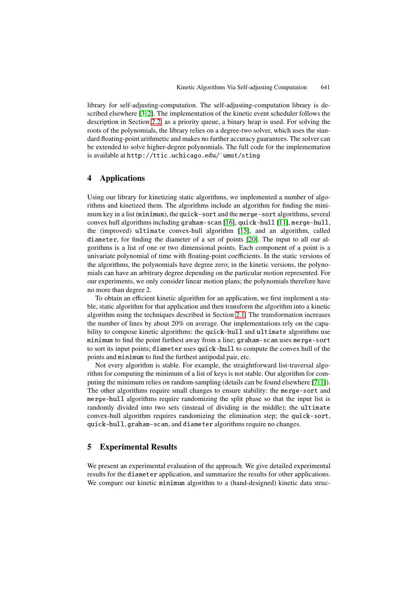library for self-adjusting-computation. The self-adjusting-computation library is described elsewhere [3, 2]. The implementation of the kinetic event scheduler follows the description in Section 2.2; as a priority queue, a binary heap is used. For solving the roots of the polynomials, the library relies on a degree-two solver, which uses the standard floating-point arithmetic and makes no further accuracy guarantees. The solver can be extended to sol[ve](#page-11-15) [hi](#page-10-1)gher-degree polynomials. The full code for the implementation is available at <code>http://ttic.uchicago.edu/~umut/sting</code>

## **4 Applications**

<span id="page-5-0"></span>Using our library for kinetizing static algorithms, we implemented a number of algorithms and kinetized them. The algorithms include an algorithm for finding the minimum key in a list (minimum), the quick-sort and the merge-sort algorithms, several convex hull algorithms including graham-scan [16], quick-hull [11], merge-hull, the (improved) ultimate convex-hull algorithm  $[15]$ , and an algorithm, called diameter, for finding the diameter of a set of points [20]. The input to all our algorithms is a list of one or two dimensional points. Each component of a point is a univariate polynomial of time with floating-poin[t co](#page-11-6)efficients. In th[e st](#page-11-7)atic versions of the algorithms, the polynomials have degree zero; in [the](#page-11-8) kinetic versions, the polynomials can have an arbitrary degree depending on the parti[cula](#page-11-18)r motion represented. For our experiments, we only consider linear motion plans; the polynomials therefore have no more than degree 2.

To obtain an efficient kinetic algorithm for an application, we first implement a stable, static algorithm for that application and then transform the algorithm into a kinetic algorithm using the techniques described in Section 2.1. The transformation increases the number of lines by about 20% on average. Our implementations rely on the capability to compose kinetic algorithms: the quick-hull and ultimate algorithms use minimum to find the point furthest away from a line; graham-scan uses merge-sort to sort its input points;  $di$  ameter uses quick-hull [to c](#page-2-1)ompute the convex hull of the points and minimum to find the furthest antipodal pair, etc.

Not every algorithm is stable. For example, the straightforward list-traversal algorithm for computing the minimum of a list of keys is not stable. Our algorithm for computing the minimum relies on random-sampling (details can be found elsewhere [7, 1]). The other algorithms require small changes to ensure stability: the merge-sort and merge-hull algorithms require randomizing the split phase so that the input list is randomly divided into two sets (instead of dividing in the middle); the ultimate convex-hull algorithm requires randomizing the elimination step; the quick-sort,quick-hull, graham-scan, and diameter algorithms require no changes.

## **5 Experimental Results**

<span id="page-5-1"></span>We present an experimental evaluation of the approach. We give detailed experimental results for the diameter application, and summarize the results for other applications. We compare our kinetic minimum algorithm to a (hand-designed) kinetic data struc-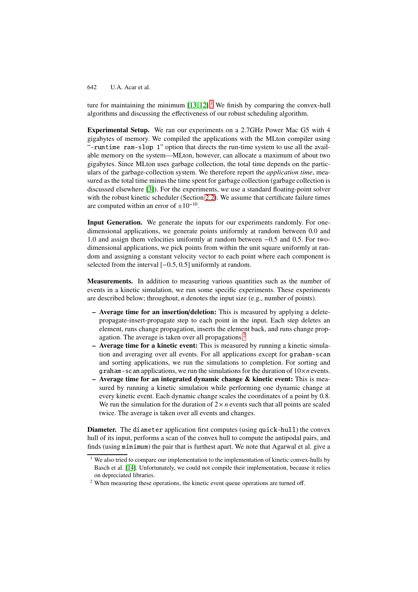#### 642 U.A. Acar et al.

ture for maintaining the minimum  $[13, 12]$ .<sup>1</sup> We finish by comparing the convex-hull algorithms and discussing the effectiveness of our robust scheduling algorithm.

**Experimental Setup.** We ran our experiments on a 2.7GHz Power Mac G5 with 4 gigabytes of memory. We compile[d th](#page-11-0)[e ap](#page-11-2)[p](#page-6-0)lications with the MLton compiler using "-runtime ram-slop 1" option that directs the run-time system to use all the available memory on the system—MLton, however, can allocate a maximum of about two gigabytes. Since MLton uses garbage collection, the total time depends on the particulars of the garbage-collection system. We therefore report the *application time*, measured as the total time minus the time spent for garbage collection (garbage collection is discussed elsewhere [3]). For the experiments, we use a standard floating-point solver with the robust kinetic scheduler (Section 2.2). We assume that certificate failure times are computed within an error of  $\pm 10^{-10}$ .

**Input Generation.** [W](#page-11-15)e generate the inputs for our experiments randomly. For onedimensional applications, we generate p[oints](#page-3-0) uniformly at random between 00 and 1.0 and assign them velocities uniformly at random between  $-0.5$  and 0.5. For twodimensional applications, we pick points from within the unit square uniformly at random and assigning a constant velocity vector to each point where each component is selected from the interval  $[-0.5, 0.5]$  uniformly at random.

**Measurements.** In addition to measuring various quantities such as the number of events in a kinetic simulation, we run some specific experiments. These experiments are described below; throughout, *n* denotes the input size (e.g., number of points).

- **Average time for an insertiondeletion:** This is measured by applying a deletepropagate-insert-propagate step to each point in the input. Each step deletes an element, runs change propagation, inserts the element back, and runs change propagation. The average is taken over all propagations.<sup>2</sup>
- **Average time for a kinetic event:** This is measured by running a kinetic simulation and averaging over all events. For all applications except for and sorting applications, we run the simulations to completion. For sorting and graham-scan applications, we run the simulations [fo](#page-6-1)r the duration of  $10 \times n$  events.
- **Average time for an integrated dynamic change & kinetic event:** This is measured by running a kinetic simulation while performing one dynamic change at every kinetic event. Each dynamic change scales the coordinates of a point by 0.8. We run the simulation for the duration of  $2 \times n$  events such that all points are scaled twice. The average is taken over all events and changes.

Diameter. The diameter application first computes (using quick-hull) the convex hull of its input, performs a scan of the convex hull to compute the antipodal pairs, and finds (using minimum) the pair that is furthest apart. We note that Agarwal et al. give a

<sup>&</sup>lt;sup>1</sup> We also tried to compare our implementation to the implementation of kinetic convex-hulls by Basch et al. [14]. Unfortunately, we could not compile their implementation, because it relies on depreciated libraries.

<span id="page-6-1"></span><span id="page-6-0"></span> $2$  When measuring these operations, the kinetic event queue operations are turned off.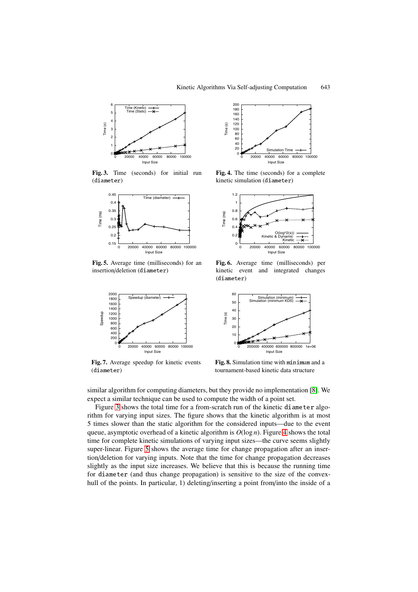

**Fig. 3.** Time (seconds) for initial run (diameter)

<span id="page-7-0"></span>

**Fig. 5.** Average time (milliseconds) for an insertion/deletion (diameter)

<span id="page-7-2"></span>

**Fig. 7.** Average speedup for kinetic events (diameter)



**Fig. 4.** The time (seconds) for a complete kinetic simulation (diameter)

<span id="page-7-1"></span>

**Fig. 6.** Average time (milliseconds) per kinetic event and integrated changes (diameter)

<span id="page-7-3"></span>

<span id="page-7-4"></span>**Fig. 8.** Simulation time with minimum and a tournament-based kinetic data structure

similar algorithm for computing diameters, but they provide no implementation [8]. We expect a similar technique can be used to compute the width of a point set.

Figure 3 shows the total time for a from-scratch run of the kinetic  $di$  ameter algorithm for varying input sizes. The figure shows that the kinetic algorithm is at most 5 times slower than the static algorithm for the considered inputs—due to th[e e](#page-11-1)vent queue, asymptotic overhead of a kinetic algorithm is  $O(\log n)$ . Figure 4 shows the total time for c[om](#page-7-0)plete kinetic simulations of varying input sizes—the curve seems slightly super-linear. Figure 5 shows the average time for change propagation after an insertion/deletion for varying inputs. Note that the time for change propagation decreases slightly as the input size increases. We believe that this is because [th](#page-7-1)e running time for diameter (and thus change propagation) is sensitive to the size of the convexhull of the points. I[n p](#page-7-2)articular, 1) deleting/inserting a point from/into the inside of a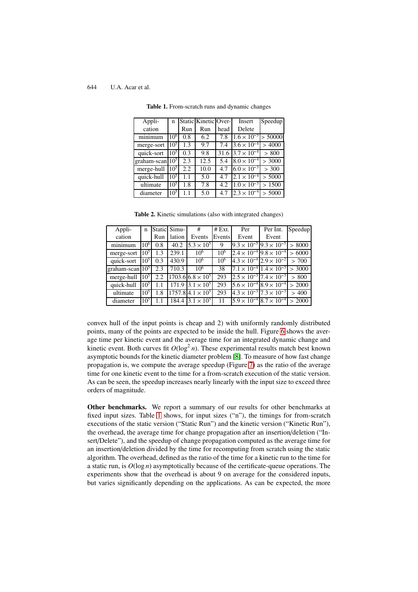<span id="page-8-0"></span>

| Appli-                      | n               |     | Static Kinetic Over- |      | Insert                       | Speedup |  |
|-----------------------------|-----------------|-----|----------------------|------|------------------------------|---------|--|
| cation                      |                 | Run | Run                  | head | Delete                       |         |  |
| minimum                     | 10 <sup>6</sup> | 0.8 | 6.2                  | 7.8  | $1.6 \times 10^{-5}$ > 50000 |         |  |
| merge-sort                  | 10 <sup>5</sup> | 1.3 | 9.7                  | 7.4  | $3.6 \times 10^{-4}$         | >4000   |  |
| quick-sort                  | 10 <sup>5</sup> | 0.3 | 9.8                  | 31.6 | $3.7 \times 10^{-4}$         | > 800   |  |
| graham-scan 10 <sup>5</sup> |                 | 2.3 | 12.5                 | 5.4  | $8.0 \times 10^{-4}$         | > 3000  |  |
| merge-hull                  | 10 <sup>5</sup> | 2.2 | 10.0                 | 4.7  | $6.0 \times 10^{-3}$         | > 300   |  |
| quick-hull                  | 10 <sup>5</sup> | 1.1 | 5.0                  | 4.7  | $2.1 \times 10^{-4}$         | > 5000  |  |
| ultimate                    | 10 <sup>5</sup> | 1.8 | 7.8                  | 4.2  | $1.0 \times 10^{-3}$         | >1500   |  |
| diameter                    | 10 <sup>5</sup> | 11  | 5.0                  | 4.7  | $2.3 \times 10^{-4}$         | > 5000  |  |

**Table 1.** From-scratch runs and dynamic changes

**Table 2.** Kinetic simulations (also with integrated changes)

<span id="page-8-1"></span>

| Appli-             | n               |     | <b>Static Simu-</b> | #                       | # Ext.          | Per                                                  | Per Int. | Speedup |
|--------------------|-----------------|-----|---------------------|-------------------------|-----------------|------------------------------------------------------|----------|---------|
| cation             |                 | Run | lation              | Events                  | Events          | Event                                                | Event    |         |
| minimum            | $10^{6}$        | 0.8 | 40.2                | $15.3 \times 10^{5}$    | 9               | $9.3 \times 10^{-5}$ $9.3 \times 10^{-5}$            |          | > 8000  |
| merge-sort         | $10^{5}$        | 1.3 | 239.1               | $10^{6}$                | $10^{6}$        | $2.4 \times 10^{-4}$ $9.8 \times 10^{-4}$            |          | >6000   |
| quick-sort         | $10^{5}$        | 0.3 | 430.9               | $10^{6}$                | 10 <sup>6</sup> | $4.3 \times 10^{-4}$ $2.9 \times 10^{-2}$            |          | > 700   |
| graham-scan $10^5$ |                 | 2.3 | 710.3               | $10^{6}$                | 38              | $ 7.1 \times 10^{-4}  1.4 \times 10^{-3} $           |          | > 3000  |
| merge-hull         | 10 <sup>5</sup> | 2.2 |                     | $1703.668 \times 10^5$  | 293             | $2.5 \times 10^{-3}$ $7.4 \times 10^{-3}$            |          | > 800   |
| quick-hull         | $10^{5}$        |     | 171.9               | $3.1 \times 10^{5}$     | 293             | $5.6 \times 10^{-4}$ $8.9 \times 10^{-4}$            |          | > 2000  |
| ultimate           | $10^{5}$        | 1.8 |                     | $1757.84.1 \times 10^5$ | 293             | $4.3 \times 10^{-3}$ $\overline{7.3 \times 10^{-3}}$ |          | >400    |
| diameter           | $10^5$          |     | 184.4               | $3.1 \times 10^{5}$     | 11              | $5.9 \times 10^{-4}$   8 $7 \times 10^{-4}$          |          | > 2000  |

convex hull of the input points is cheap and 2) with uniformly randomly distributed points, many of the points are expected to be inside the hull. Figure 6 shows the average time per kinetic event and the average time for an integrated dynamic change and kinetic event. Both curves fit  $O(\log^2 n)$ . These experimental results match best known asymptotic bounds for the kinetic diameter problem [8]. To measure of how fast change propagation is, we compute the average speedup (Figure 7) as the r[atio](#page-7-3) of the average time for one kinetic event to the time for a from-scratch execution of the static version. As can be seen, the speedup increases nearly linearly with the input size to exceed three orders of magnitude.

**Other benchmarks.** We report a summary of our results for other benchmarks at fixed input sizes. Table 1 shows, for input sizes ("n"), the timings for from-scratch executions of the static version ("Static Run") and the kinetic version ("Kinetic Run"), the overhead, the average time for change propagation after an insertion/deletion ("Insert/Delete"), and the speedup of change propagation computed as the average time for an insertion/deletion div[ide](#page-8-0)d by the time for recomputing from scratch using the static algorithm. The overhead, defined as the ratio of the time for a kinetic run to the time for a static run, is *O*(log *n*) asymptotically because of the certificate-queue operations. The experiments show that the overhead is about 9 on average for the considered inputs, but varies significantly depending on the applications. As can be expected, the more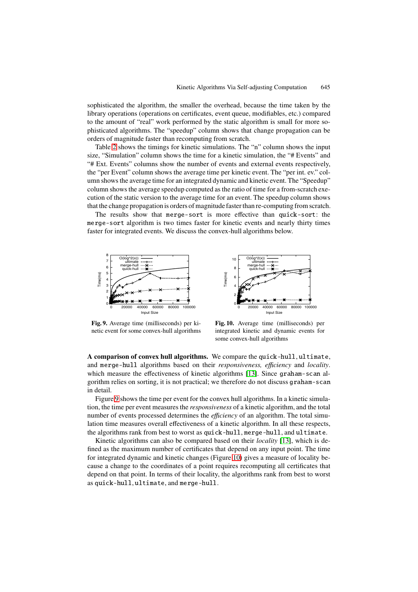sophisticated the algorithm, the smaller the overhead, because the time taken by the library operations (operations on certificates, event queue, modifiables, etc.) compared to the amount of "real" work performed by the static algorithm is small for more sophisticated algorithms. The "speedup" column shows that change propagation can be orders of magnitude faster than recomputing from scratch.

Table 2 shows the timings for kinetic simulations. The "n" column shows the input size, "Simulation" column shows the time for a kinetic simulation, the "# Events" and "# Ext. Events" columns show the number of events and external events respectively, the "per Event" column shows the average time per kinetic event. The "per int. ev." column sho[ws](#page-8-1) the average time for an integrated dynamic and kinetic event. The "Speedup" column shows the average speedup computed as the ratio of time for a from-scratch execution of the static version to the average time for an event. The speedup column shows that the change propagation is orders of magnitude faster than re-computing from scratch.

The results show that merge-sort is more effective than quick-sort: the merge-sort algorithm is two times faster for kinetic events and nearly thirty times faster for integrated events. We discuss the convex-hull algorithms below.





**Fig. 9.** Average time (milliseconds) per kinetic event for some convex-hull algorithms

**Fig. 10.** Average time (milliseconds) per integrated kinetic and dynamic events for some convex-hull algorithms

<span id="page-9-0"></span>A comparison of convex hull algorithms. We compare the quick-hull, ultimate, and merge-hull algorithms based on their *responsiveness, efficiency* and *locality*. which measure the effectiveness of kinetic algorithms  $[13]$ . Since graham-scan algorithm relies on sorting, it is not practical; we therefore do not discuss in detail.

Figure 9 shows the time per event for the convex hull algorithms. In a kinetic simulation, the time per event measures the *responsiveness* of a [kine](#page-11-0)tic algorithm, and the total number of events processed determines the *efficiency* of an algorithm. The total simulation time measures overall effectiveness of a kinetic algorithm. In all these respects, [th](#page-9-0)e algorithms rank from best to worst as quick-hull, merge-hull, and ultimate.

Kinetic algorithms can also be compared based on their *locality* [13], which is defined as the maximum number of certificates that depend on any input point. The time for integrated dynamic and kinetic changes (Figure 10) gives a measure of locality because a change to the coordinates of a point requires recomputing all certificates that depend on that point. In terms of their locality, the algorithms rank f[rom](#page-11-0) best to worst as quick-hull, ultimate, and merge-hull.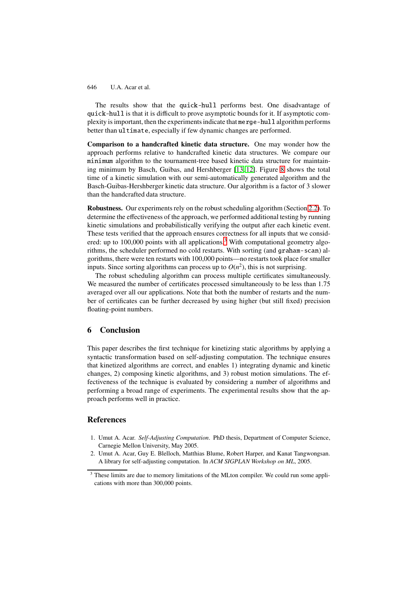646 U.A. Acar et al.

The results show that the quick-hull performs best. One disadvantage of quick-hull is that it is difficult to prove asymptotic bounds for it. If asymptotic com $p$  plexity is important, then the experiments indicate that  $m$  are  $q$  algorithm performs better than ultimate, especially if few dynamic changes are performed.

**Comparison to a handcrafted kinetic data structure.** One may wonder how the approach performs relative to handcrafted kinetic data structures. We compare our minimum algorithm to the tournament-tree based kinetic data structure for maintaining minimum by Basch, Guibas, and Hershberger [13, 12]. Figure 8 shows the total time of a kinetic simulation with our semi-automatically generated algorithm and the Basch-Guibas-Hershberger kinetic data structure. Our algorithm is a factor of 3 slower than the handcrafted data structure.

**Robustness.** Our experiments rely on the robust sch[edul](#page-11-0)[ing](#page-11-2) algorith[m](#page-7-4) [\(](#page-7-4)Section 2.2). To determine the effectiveness of the approach, we performed additional testing by running kinetic simulations and probabilistically verifying the output after each kinetic event. These tests verified that the approach ensures correctness for all inputs that we considered: up to  $100,000$  points with all applications.<sup>3</sup> With computational geome[try a](#page-3-0)lgorithms, the scheduler performed no cold restarts. With sorting (and graham-scan) algorithms, there were ten restarts with 100,000 points—no restarts took place for smaller inputs. Since sorting algorithms can process up to  $O(n^2)$ , this is not surprising.

The robust scheduling algorithm can proces[s](#page-10-2) multiple certificates simultaneously. We measured the number of certificates processed simultaneously to be less than 1.75 averaged over all our applications. Note that both the number of restarts and the number of certificates can be further decreased by using higher (but still fixed) precision floating-point numbers.

## **6 Conclusion**

This paper describes the first technique for kinetizing static algorithms by applying a syntactic transformation based on self-adjusting computation. The technique ensures that kinetized algorithms are correct, and enables 1) integrating dynamic and kinetic changes, 2) composing kinetic algorithms, and 3) robust motion simulations. The effectiveness of the technique is evaluated by considering a number of algorithms and performing a broad range of experiments. The experimental results show that the approach performs well in practice.

## **References**

- 1. Umut A. Acar. *Self-Adjusting Computation*. PhD thesis, Department of Computer Science, Carnegie Mellon University, May 2005.
- 2. Umut A. Acar, Guy E. Blelloch, Matthias Blume, Robert Harper, and Kanat Tangwongsan. A library for self-adjusting computation. In *ACM SIGPLAN Workshop on ML*, 2005.

<span id="page-10-2"></span><span id="page-10-1"></span><span id="page-10-0"></span><sup>&</sup>lt;sup>3</sup> These limits are due to memory limitations of the MLton compiler. We could run some applications with more than 300,000 points.